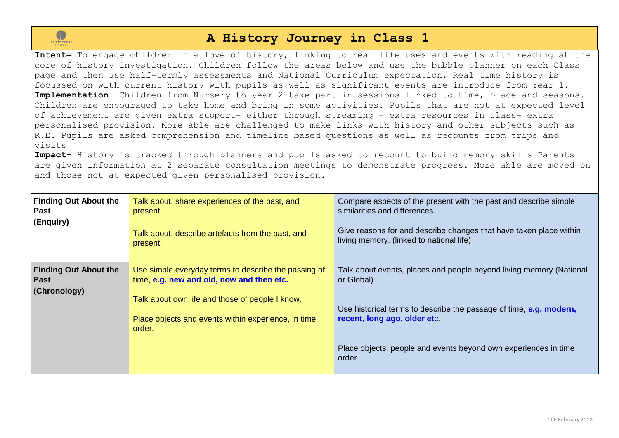

## **A History Journey in Class 1**

**Intent=** To engage children in a love of history, linking to real life uses and events with reading at the core of history investigation. Children follow the areas below and use the bubble planner on each Class page and then use half-termly assessments and National Curriculum expectation. Real time history is focussed on with current history with pupils as well as significant events are introduce from Year 1. **Implementation-** Children from Nursery to year 2 take part in sessions linked to time, place and seasons. Children are encouraged to take home and bring in some activities. Pupils that are not at expected level of achievement are given extra support- either through streaming – extra resources in class- extra personalised provision. More able are challenged to make links with history and other subjects such as R.E. Pupils are asked comprehension and timeline based questions as well as recounts from trips and visits

**Impact-** History is tracked through planners and pupils asked to recount to build memory skills Parents are given information at 2 separate consultation meetings to demonstrate progress. More able are moved on and those not at expected given personalised provision.

| <b>Finding Out About the</b><br><b>Past</b><br>(Enquiry)    | Talk about, share experiences of the past, and<br>present.<br>Talk about, describe artefacts from the past, and<br>present.                                                                                           | Compare aspects of the present with the past and describe simple<br>similarities and differences.<br>Give reasons for and describe changes that have taken place within<br>living memory. (linked to national life)                                                   |
|-------------------------------------------------------------|-----------------------------------------------------------------------------------------------------------------------------------------------------------------------------------------------------------------------|-----------------------------------------------------------------------------------------------------------------------------------------------------------------------------------------------------------------------------------------------------------------------|
| <b>Finding Out About the</b><br><b>Past</b><br>(Chronology) | Use simple everyday terms to describe the passing of<br>time, e.g. new and old, now and then etc.<br>Talk about own life and those of people I know.<br>Place objects and events within experience, in time<br>order. | Talk about events, places and people beyond living memory. (National<br>or Global)<br>Use historical terms to describe the passage of time, e.g. modern,<br>recent, long ago, older etc.<br>Place objects, people and events beyond own experiences in time<br>order. |